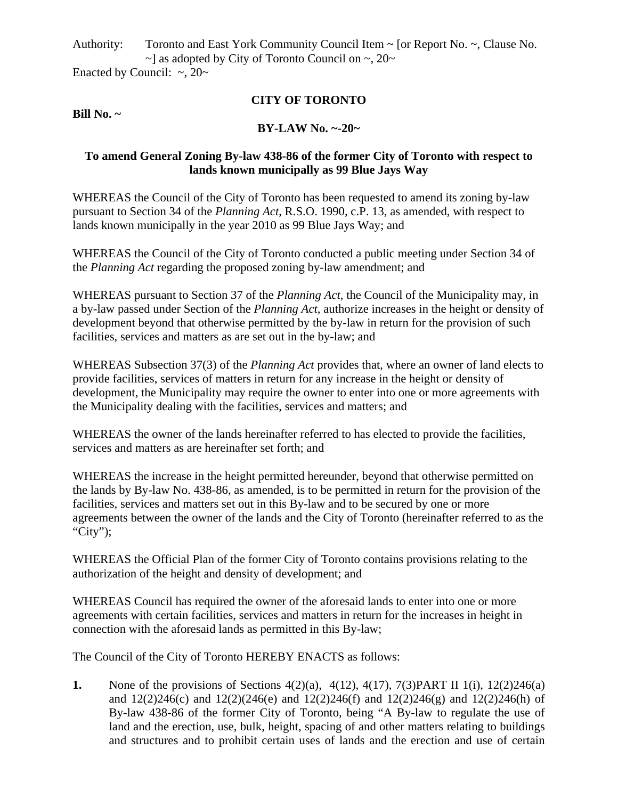Authority: Toronto and East York Community Council Item  $\sim$  [or Report No.  $\sim$ , Clause No.  $\sim$ ] as adopted by City of Toronto Council on  $\sim$ , 20 $\sim$ 

Enacted by Council:  $\sim$ , 20 $\sim$ 

# **CITY OF TORONTO**

#### **Bill No. ~**

### **BY-LAW No. ~-20~**

## **To amend General Zoning By-law 438-86 of the former City of Toronto with respect to lands known municipally as 99 Blue Jays Way**

WHEREAS the Council of the City of Toronto has been requested to amend its zoning by-law pursuant to Section 34 of the *Planning Act*, R.S.O. 1990, c.P. 13, as amended, with respect to lands known municipally in the year 2010 as 99 Blue Jays Way; and

WHEREAS the Council of the City of Toronto conducted a public meeting under Section 34 of the *Planning Act* regarding the proposed zoning by-law amendment; and

WHEREAS pursuant to Section 37 of the *Planning Act*, the Council of the Municipality may, in a by-law passed under Section of the *Planning Act*, authorize increases in the height or density of development beyond that otherwise permitted by the by-law in return for the provision of such facilities, services and matters as are set out in the by-law; and

WHEREAS Subsection 37(3) of the *Planning Act* provides that, where an owner of land elects to provide facilities, services of matters in return for any increase in the height or density of development, the Municipality may require the owner to enter into one or more agreements with the Municipality dealing with the facilities, services and matters; and

WHEREAS the owner of the lands hereinafter referred to has elected to provide the facilities, services and matters as are hereinafter set forth; and

WHEREAS the increase in the height permitted hereunder, beyond that otherwise permitted on the lands by By-law No. 438-86, as amended, is to be permitted in return for the provision of the facilities, services and matters set out in this By-law and to be secured by one or more agreements between the owner of the lands and the City of Toronto (hereinafter referred to as the "City");

WHEREAS the Official Plan of the former City of Toronto contains provisions relating to the authorization of the height and density of development; and

WHEREAS Council has required the owner of the aforesaid lands to enter into one or more agreements with certain facilities, services and matters in return for the increases in height in connection with the aforesaid lands as permitted in this By-law;

The Council of the City of Toronto HEREBY ENACTS as follows:

**1.** None of the provisions of Sections 4(2)(a), 4(12), 4(17), 7(3) PART II 1(i), 12(2) 246(a) and 12(2)246(c) and 12(2)(246(e) and 12(2)246(f) and 12(2)246(g) and 12(2)246(h) of By-law 438-86 of the former City of Toronto, being "A By-law to regulate the use of land and the erection, use, bulk, height, spacing of and other matters relating to buildings and structures and to prohibit certain uses of lands and the erection and use of certain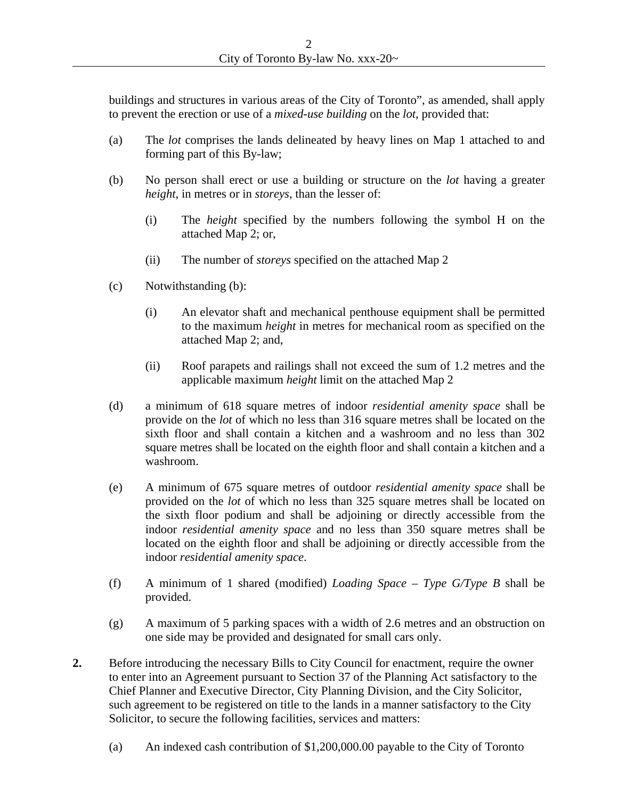buildings and structures in various areas of the City of Toronto", as amended, shall apply to prevent the erection or use of a *mixed-use building* on the *lot*, provided that:

- (a) The *lot* comprises the lands delineated by heavy lines on Map 1 attached to and forming part of this By-law;
- (b) No person shall erect or use a building or structure on the *lot* having a greater *height*, in metres or in *storeys*, than the lesser of:
	- (i) The *height* specified by the numbers following the symbol H on the attached Map 2; or,
	- (ii) The number of *storeys* specified on the attached Map 2
- (c) Notwithstanding (b):
	- (i) An elevator shaft and mechanical penthouse equipment shall be permitted to the maximum *height* in metres for mechanical room as specified on the attached Map 2; and,
	- (ii) Roof parapets and railings shall not exceed the sum of 1.2 metres and the applicable maximum *height* limit on the attached Map 2
- (d) a minimum of 618 square metres of indoor *residential amenity space* shall be provide on the *lot* of which no less than 316 square metres shall be located on the sixth floor and shall contain a kitchen and a washroom and no less than 302 square metres shall be located on the eighth floor and shall contain a kitchen and a washroom.
- (e) A minimum of 675 square metres of outdoor *residential amenity space* shall be provided on the *lot* of which no less than 325 square metres shall be located on the sixth floor podium and shall be adjoining or directly accessible from the indoor *residential amenity space* and no less than 350 square metres shall be located on the eighth floor and shall be adjoining or directly accessible from the indoor *residential amenity space*.
- (f) A minimum of 1 shared (modified) *Loading* Space Type  $G/Type$  B shall be provided.
- (g) A maximum of 5 parking spaces with a width of 2.6 metres and an obstruction on one side may be provided and designated for small cars only.
- **2.** Before introducing the necessary Bills to City Council for enactment, require the owner to enter into an Agreement pursuant to Section 37 of the Planning Act satisfactory to the Chief Planner and Executive Director, City Planning Division, and the City Solicitor, such agreement to be registered on title to the lands in a manner satisfactory to the City Solicitor, to secure the following facilities, services and matters:
	- (a) An indexed cash contribution of \$1,200,000.00 payable to the City of Toronto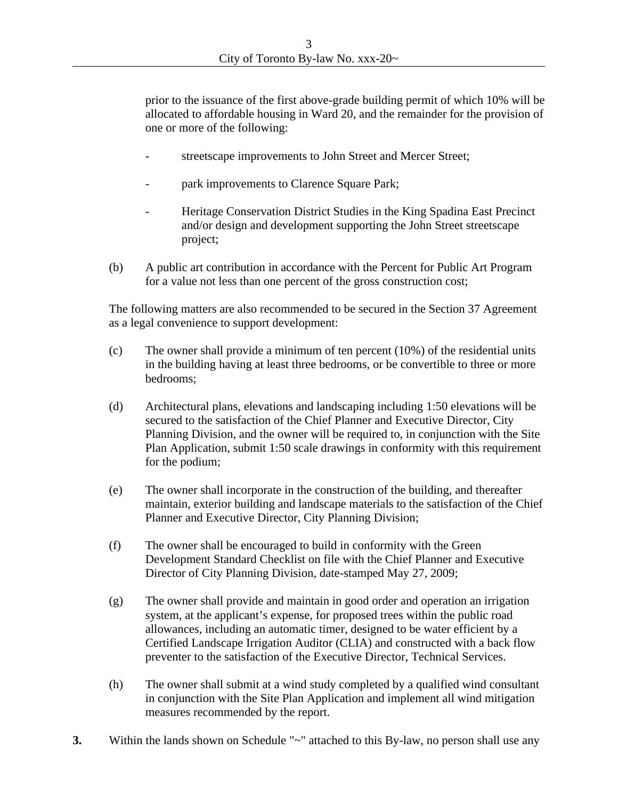prior to the issuance of the first above-grade building permit of which 10% will be allocated to affordable housing in Ward 20, and the remainder for the provision of one or more of the following:

- streetscape improvements to John Street and Mercer Street;
- park improvements to Clarence Square Park;
- Heritage Conservation District Studies in the King Spadina East Precinct and/or design and development supporting the John Street streetscape project; and the contract of the contract of the contract of the contract of the contract of the contract of the contract of the contract of the contract of the contract of the contract of the contract of the contract of t
- (b) A public art contribution in accordance with the Percent for Public Art Program for a value not less than one percent of the gross construction cost;

The following matters are also recommended to be secured in the Section 37 Agreement as a legal convenience to support development:

- (c) The owner shall provide a minimum of ten percent  $(10\%)$  of the residential units in the building having at least three bedrooms, or be convertible to three or more bedrooms;
- (d) Architectural plans, elevations and landscaping including 1:50 elevations will be secured to the satisfaction of the Chief Planner and Executive Director, City Planning Division, and the owner will be required to, in conjunction with the Site Plan Application, submit 1:50 scale drawings in conformity with this requirement for the podium;
- (e) The owner shall incorporate in the construction of the building, and thereafter maintain, exterior building and landscape materials to the satisfaction of the Chief Planner and Executive Director, City Planning Division;
- (f) The owner shall be encouraged to build in conformity with the Green Development Standard Checklist on file with the Chief Planner and Executive Director of City Planning Division, date-stamped May 27, 2009;
- (g) The owner shall provide and maintain in good order and operation an irrigation system, at the applicant's expense, for proposed trees within the public road allowances, including an automatic timer, designed to be water efficient by a Certified Landscape Irrigation Auditor (CLIA) and constructed with a back flow preventer to the satisfaction of the Executive Director, Technical Services.
- (h) The owner shall submit at a wind study completed by a qualified wind consultant in conjunction with the Site Plan Application and implement all wind mitigation measures recommended by the report.
- **3.** Within the lands shown on Schedule "~" attached to this By-law, no person shall use any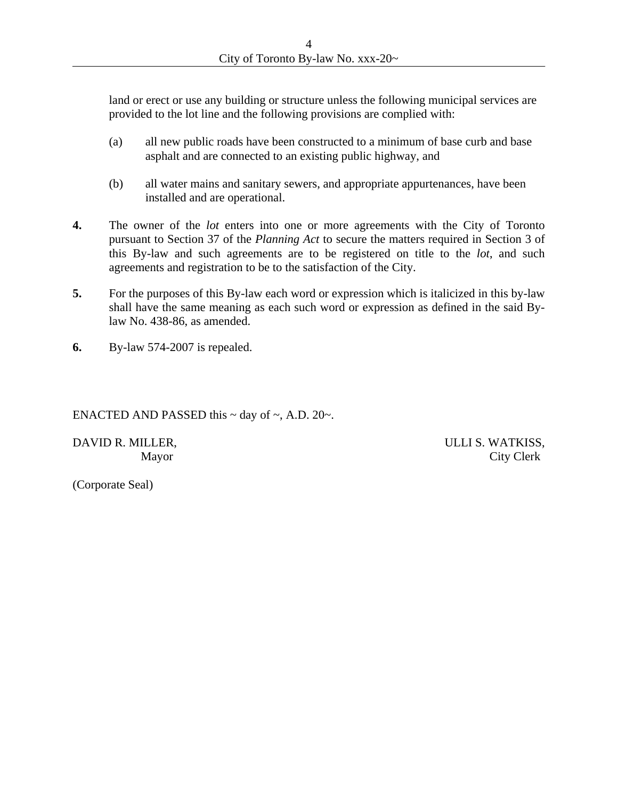land or erect or use any building or structure unless the following municipal services are provided to the lot line and the following provisions are complied with:

- (a) all new public roads have been constructed to a minimum of base curb and base asphalt and are connected to an existing public highway, and
- (b) all water mains and sanitary sewers, and appropriate appurtenances, have been installed and are operational.
- **4.** The owner of the *lot* enters into one or more agreements with the City of Toronto pursuant to Section 37 of the *Planning Act* to secure the matters required in Section 3 of this By-law and such agreements are to be registered on title to the  $lot$ , and such agreements and registration to be to the satisfaction of the City.
- **5.** For the purposes of this By-law each word or expression which is italicized in this by-law shall have the same meaning as each such word or expression as defined in the said Bylaw No. 438-86, as amended.
- **6.** By-law 574-2007 is repealed.

#### ENACTED AND PASSED this  $\sim$  day of  $\sim$ , A.D. 20 $\sim$ .

DAVID R. MILLER, THE SECOND OF STREET SECOND ULLI S. WATKISS,

Mayor City Clerk

(Corporate Seal)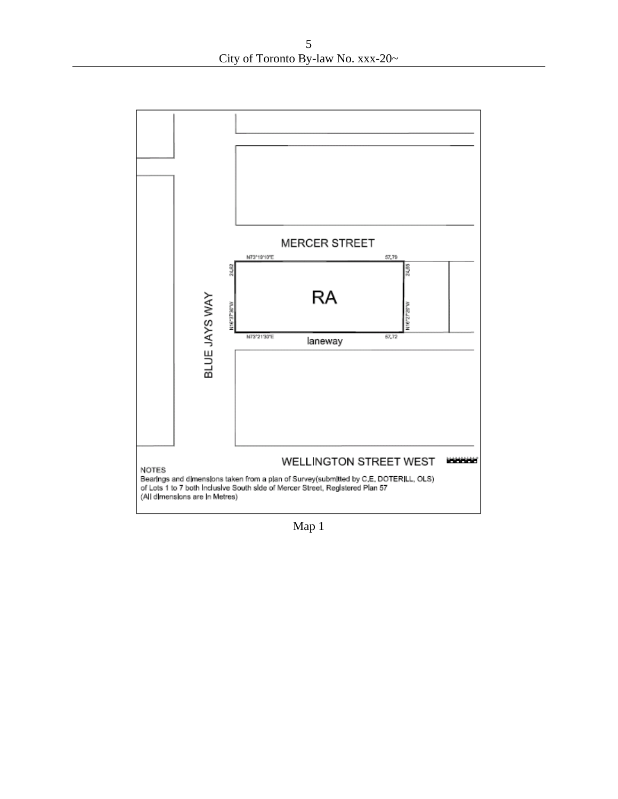

Map 1